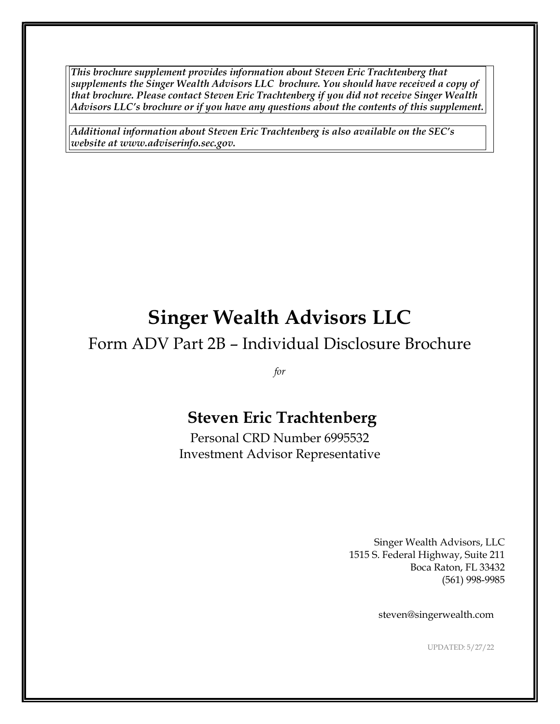*This brochure supplement provides information about Steven Eric Trachtenberg that supplements the Singer Wealth Advisors LLC brochure. You should have received a copy of that brochure. Please contact Steven Eric Trachtenberg if you did not receive Singer Wealth Advisors LLC's brochure or if you have any questions about the contents of this supplement.* 

*Additional information about Steven Eric Trachtenberg is also available on the SEC's website at www.adviserinfo.sec.gov.* 

# **Singer Wealth Advisors LLC**

## Form ADV Part 2B – Individual Disclosure Brochure

*for*

## **Steven Eric Trachtenberg**

Personal CRD Number 6995532 Investment Advisor Representative

> Singer Wealth Advisors, LLC 1515 S. Federal Highway, Suite 211 Boca Raton, FL 33432 (561) 998-9985

> > steven@singerwealth.com

UPDATED: 5/27/22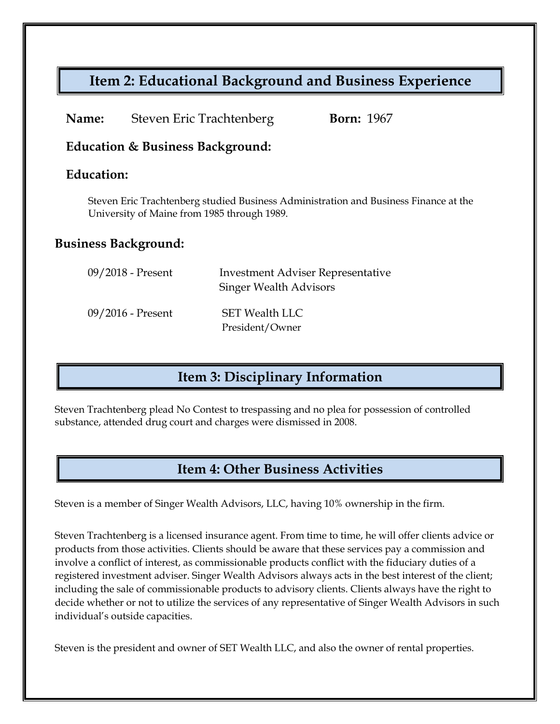## **Item 2: Educational Background and Business Experience**

| Name: | Steven Eric Trachtenberg | <b>Born:</b> 1967 |
|-------|--------------------------|-------------------|
|-------|--------------------------|-------------------|

#### **Education & Business Background:**

#### **Education:**

Steven Eric Trachtenberg studied Business Administration and Business Finance at the University of Maine from 1985 through 1989.

#### **Business Background:**

| $09/2018$ - Present | <b>Investment Adviser Representative</b><br><b>Singer Wealth Advisors</b> |
|---------------------|---------------------------------------------------------------------------|
| $09/2016$ - Present | <b>SET Wealth LLC</b><br>President/Owner                                  |

### **Item 3: Disciplinary Information**

Steven Trachtenberg plead No Contest to trespassing and no plea for possession of controlled substance, attended drug court and charges were dismissed in 2008.

### **Item 4: Other Business Activities**

Steven is a member of Singer Wealth Advisors, LLC, having 10% ownership in the firm.

Steven Trachtenberg is a licensed insurance agent. From time to time, he will offer clients advice or products from those activities. Clients should be aware that these services pay a commission and involve a conflict of interest, as commissionable products conflict with the fiduciary duties of a registered investment adviser. Singer Wealth Advisors always acts in the best interest of the client; including the sale of commissionable products to advisory clients. Clients always have the right to decide whether or not to utilize the services of any representative of Singer Wealth Advisors in such individual's outside capacities.

Steven is the president and owner of SET Wealth LLC, and also the owner of rental properties.